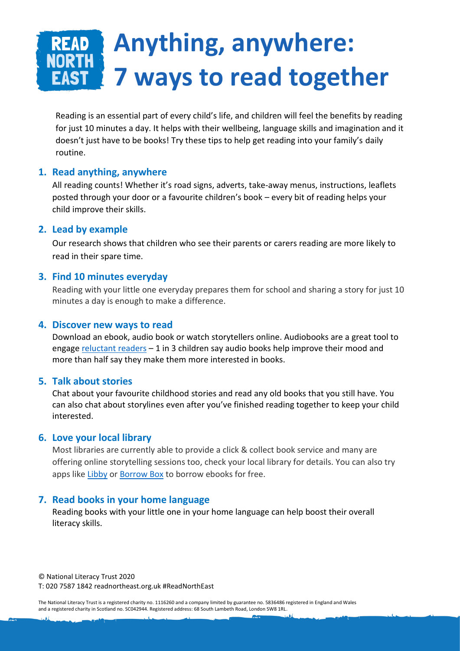# **Anything, anywhere: RORTH 7 ways to read together**

Reading is an essential part of every child's life, and children will feel the benefits by reading for just 10 minutes a day. It helps with their wellbeing, language skills and imagination and it doesn't just have to be books! Try these tips to help get reading into your family's daily routine.

### **1. Read anything, anywhere**

All reading counts! Whether it's road signs, adverts, take-away menus, instructions, leaflets posted through your door or a favourite children's book – every bit of reading helps your child improve their skills.

### **2. Lead by example**

Our research shows that children who see their parents or carers reading are more likely to read in their spare time.

### **3. Find 10 minutes everyday**

Reading with your little one everyday prepares them for school and sharing a story for just 10 minutes a day is enough to make a difference.

### **4. Discover new ways to read**

Download an ebook, audio book or watch storytellers online. Audiobooks are a great tool to engag[e reluctant readers](https://literacytrust.org.uk/news/audiobook-research/)  $-1$  in 3 children say audio books help improve their mood and more than half say they make them more interested in books.

# **5. Talk about stories**

Chat about your favourite childhood stories and read any old books that you still have. You can also chat about storylines even after you've finished reading together to keep your child interested.

#### **6. Love your local library**

Most libraries are currently able to provide a click & collect book service and many are offering online storytelling sessions too, check your local library for details. You can also try apps like [Libby](https://www.overdrive.com/apps/libby/) or [Borrow Box](https://www.borrowbox.com/) to borrow ebooks for free.

# **7. Read books in your home language**

Reading books with your little one in your home language can help boost their overall literacy skills.

© National Literacy Trust 2020 T: 020 7587 1842 readnortheast.org.uk #ReadNorthEast

The National Literacy Trust is a registered charity no. 1116260 and a company limited by guarantee no. 5836486 registered in England and Wales and a registered charity in Scotland no. SC042944. Registered address: 68 South Lambeth Road, London SW8 1RL.